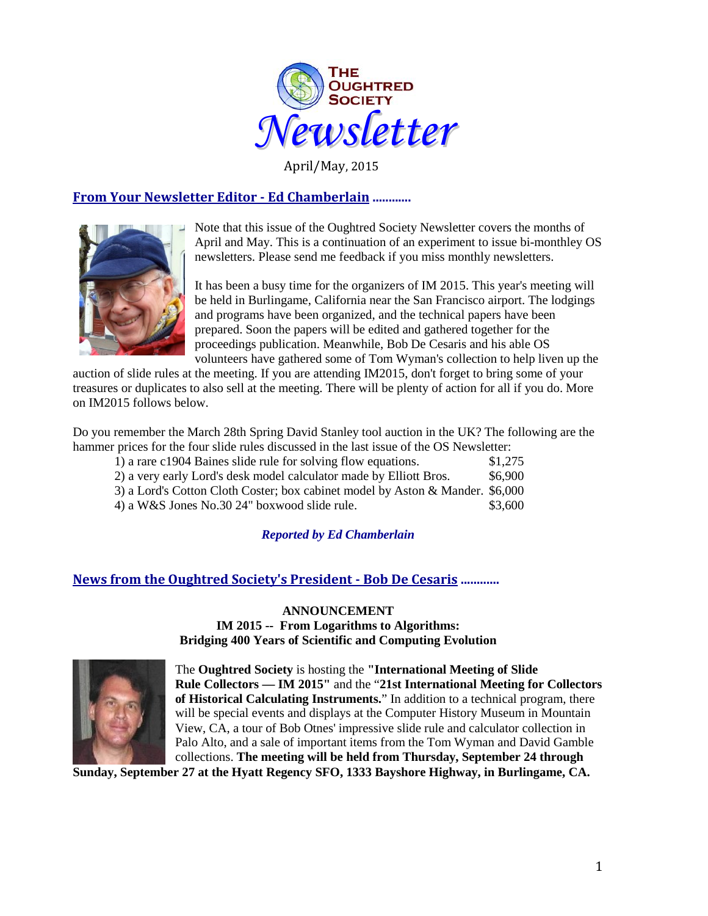

April/May, 2015

# **From Your Newsletter Editor - Ed Chamberlain ............**



Note that this issue of the Oughtred Society Newsletter covers the months of April and May. This is a continuation of an experiment to issue bi-monthley OS newsletters. Please send me feedback if you miss monthly newsletters.

It has been a busy time for the organizers of IM 2015. This year's meeting will be held in Burlingame, California near the San Francisco airport. The lodgings and programs have been organized, and the technical papers have been prepared. Soon the papers will be edited and gathered together for the proceedings publication. Meanwhile, Bob De Cesaris and his able OS volunteers have gathered some of Tom Wyman's collection to help liven up the

auction of slide rules at the meeting. If you are attending IM2015, don't forget to bring some of your treasures or duplicates to also sell at the meeting. There will be plenty of action for all if you do. More on IM2015 follows below.

Do you remember the March 28th Spring David Stanley tool auction in the UK? The following are the hammer prices for the four slide rules discussed in the last issue of the OS Newsletter:

| 1) a rare c1904 Baines slide rule for solving flow equations.                 | \$1,275 |
|-------------------------------------------------------------------------------|---------|
| 2) a very early Lord's desk model calculator made by Elliott Bros.            | \$6,900 |
| 3) a Lord's Cotton Cloth Coster; box cabinet model by Aston & Mander. \$6,000 |         |
| 4) a W&S Jones No.30 24" boxwood slide rule.                                  | \$3,600 |

# *Reported by Ed Chamberlain*

# **News from the Oughtred Society's President - Bob De Cesaris ............**

# **ANNOUNCEMENT IM 2015 -- From Logarithms to Algorithms: Bridging 400 Years of Scientific and Computing Evolution**



The **Oughtred Society** is hosting the **"International Meeting of Slide Rule Collectors — IM 2015"** and the "**21st International Meeting for Collectors of Historical Calculating Instruments.**" In addition to a technical program, there will be special events and displays at the Computer History Museum in Mountain View, CA, a tour of Bob Otnes' impressive slide rule and calculator collection in Palo Alto, and a sale of important items from the Tom Wyman and David Gamble collections. **The meeting will be held from Thursday, September 24 through** 

**Sunday, September 27 at the Hyatt Regency SFO, 1333 Bayshore Highway, in Burlingame, CA.**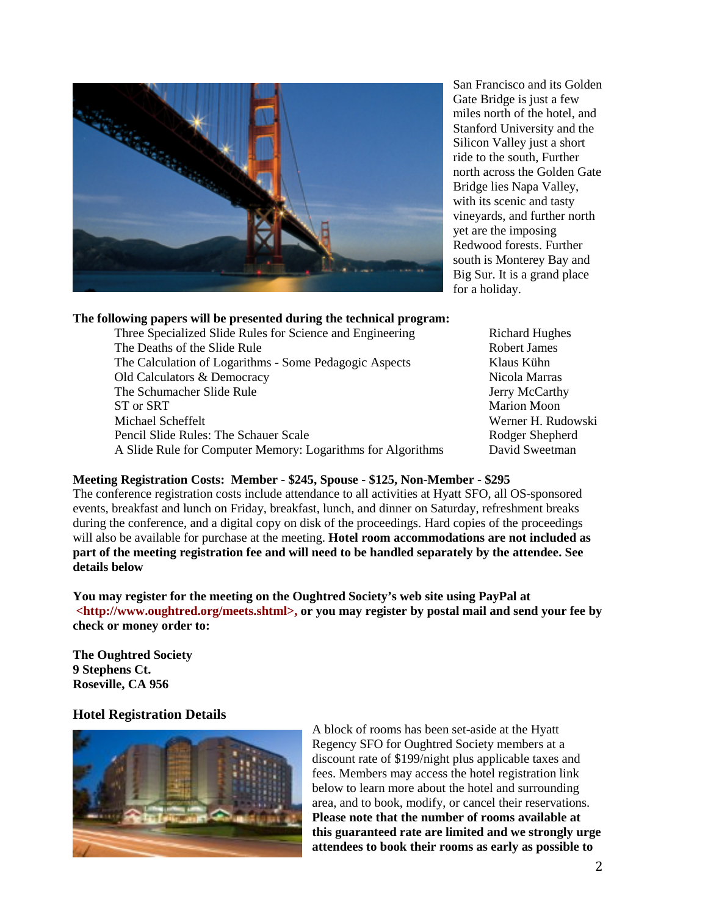

San Francisco and its Golden Gate Bridge is just a few miles north of the hotel, and Stanford University and the Silicon Valley just a short ride to the south, Further north across the Golden Gate Bridge lies Napa Valley, with its scenic and tasty vineyards, and further north yet are the imposing Redwood forests. Further south is Monterey Bay and Big Sur. It is a grand place for a holiday.

## **The following papers will be presented during the technical program:**

Three Specialized Slide Rules for Science and Engineering Richard Hughes The Deaths of the Slide Rule Robert James Robert James The Calculation of Logarithms - Some Pedagogic Aspects Klaus Kühn Old Calculators & Democracy Nicola Marras The Schumacher Slide Rule Jerry McCarthy ST or SRT Marion Moon Michael Scheffelt **Werner H. Rudowski** Pencil Slide Rules: The Schauer Scale Rodger Shepherd Rodger Shepherd A Slide Rule for Computer Memory: Logarithms for Algorithms David Sweetman

## **Meeting Registration Costs: Member - \$245, Spouse - \$125, Non-Member - \$295**

The conference registration costs include attendance to all activities at Hyatt SFO, all OS-sponsored events, breakfast and lunch on Friday, breakfast, lunch, and dinner on Saturday, refreshment breaks during the conference, and a digital copy on disk of the proceedings. Hard copies of the proceedings will also be available for purchase at the meeting. **Hotel room accommodations are not included as part of the meeting registration fee and will need to be handled separately by the attendee. See details below**

**You may register for the meeting on the Oughtred Society's web site using PayPal at <http://www.oughtred.org/meets.shtml>, or you may register by postal mail and send your fee by check or money order to:**

**The Oughtred Society 9 Stephens Ct. Roseville, CA 956**

## **Hotel Registration Details**



A block of rooms has been set-aside at the Hyatt Regency SFO for Oughtred Society members at a discount rate of \$199/night plus applicable taxes and fees. Members may access the hotel registration link below to learn more about the hotel and surrounding area, and to book, modify, or cancel their reservations. **Please note that the number of rooms available at this guaranteed rate are limited and we strongly urge attendees to book their rooms as early as possible to**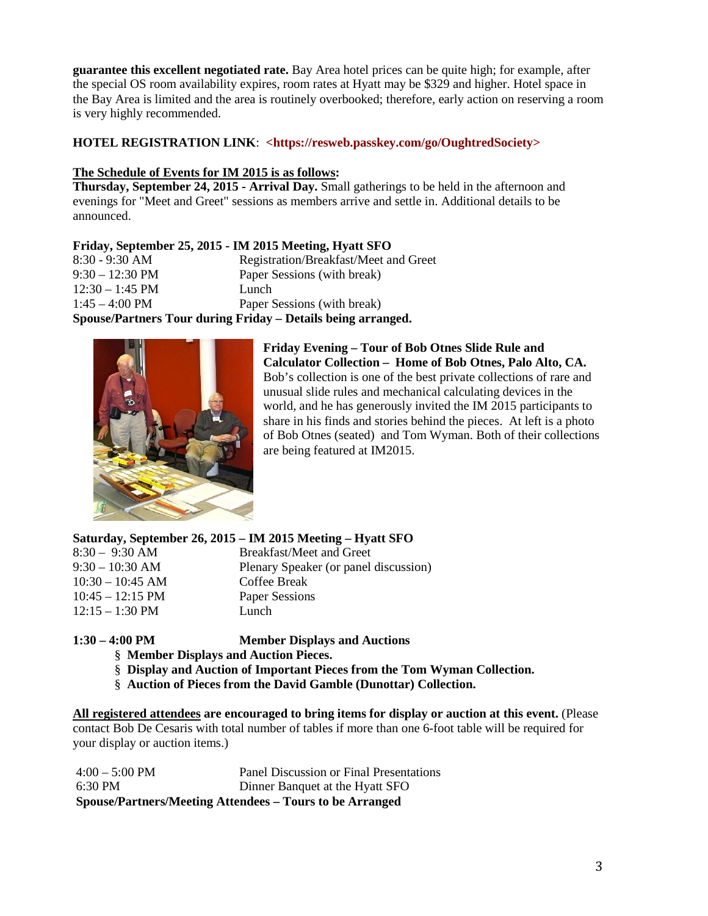**guarantee this excellent negotiated rate.** Bay Area hotel prices can be quite high; for example, after the special OS room availability expires, room rates at Hyatt may be \$329 and higher. Hotel space in the Bay Area is limited and the area is routinely overbooked; therefore, early action on reserving a room is very highly recommended.

# **HOTEL REGISTRATION LINK**: **<https://resweb.passkey.com/go/OughtredSociety>**

# **The Schedule of Events for IM 2015 is as follows:**

**Thursday, September 24, 2015 - Arrival Day.** Small gatherings to be held in the afternoon and evenings for "Meet and Greet" sessions as members arrive and settle in. Additional details to be announced.

# **Friday, September 25, 2015 - IM 2015 Meeting, Hyatt SFO**

| Spouse/Partners Tour during Friday - Details being arranged. |                                       |  |
|--------------------------------------------------------------|---------------------------------------|--|
| $1:45 - 4:00 \text{ PM}$                                     | Paper Sessions (with break)           |  |
| $12:30 - 1:45$ PM                                            | Lunch                                 |  |
| $9:30 - 12:30 \text{ PM}$                                    | Paper Sessions (with break)           |  |
| $8:30 - 9:30$ AM                                             | Registration/Breakfast/Meet and Greet |  |



**Friday Evening – Tour of Bob Otnes Slide Rule and Calculator Collection – Home of Bob Otnes, Palo Alto, CA.**  Bob's collection is one of the best private collections of rare and unusual slide rules and mechanical calculating devices in the world, and he has generously invited the IM 2015 participants to share in his finds and stories behind the pieces. At left is a photo of Bob Otnes (seated) and Tom Wyman. Both of their collections are being featured at IM2015.

## **Saturday, September 26, 2015 – IM 2015 Meeting – Hyatt SFO**

| $8:30 - 9:30$ AM           | Breakfast/Meet and Greet              |
|----------------------------|---------------------------------------|
| 9:30 – 10:30 AM            | Plenary Speaker (or panel discussion) |
| $10:30 - 10:45$ AM         | Coffee Break                          |
| $10:45 - 12:15 \text{ PM}$ | Paper Sessions                        |
| $12:15 - 1:30 \text{ PM}$  | Lunch                                 |
|                            |                                       |

**1:30 – 4:00 PM Member Displays and Auctions**

- § **Member Displays and Auction Pieces.**
- § **Display and Auction of Important Pieces from the Tom Wyman Collection.**
- § **Auction of Pieces from the David Gamble (Dunottar) Collection.**

**All registered attendees are encouraged to bring items for display or auction at this event.** (Please contact Bob De Cesaris with total number of tables if more than one 6-foot table will be required for your display or auction items.)

4:00 – 5:00 PM Panel Discussion or Final Presentations 6:30 PM Dinner Banquet at the Hyatt SFO **Spouse/Partners/Meeting Attendees – Tours to be Arranged**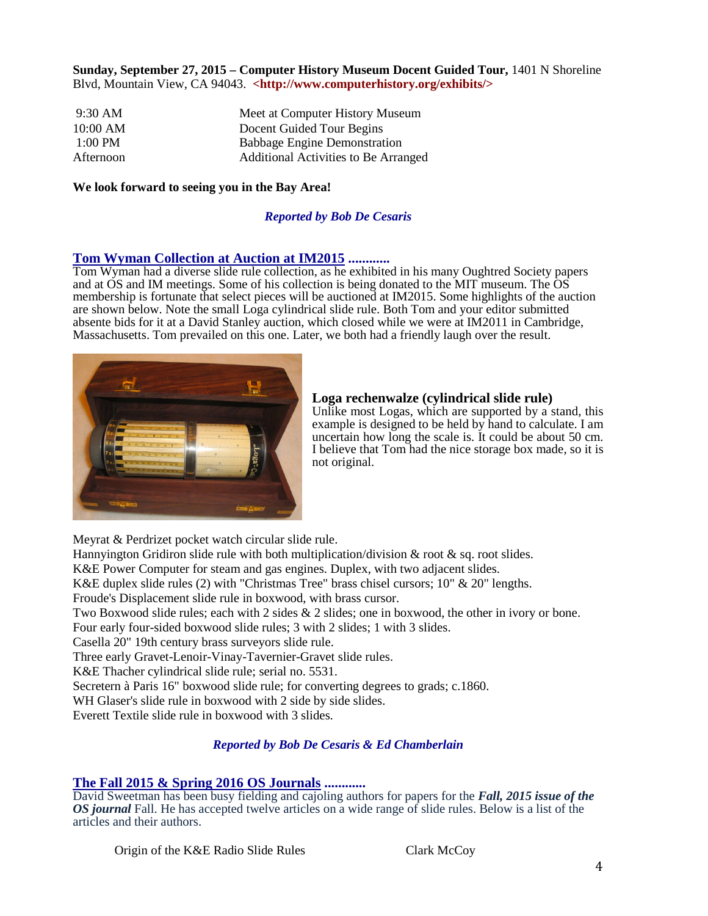## **Sunday, September 27, 2015 – Computer History Museum Docent Guided Tour,** 1401 N Shoreline Blvd, Mountain View, CA 94043. **<http://www.computerhistory.org/exhibits/>**

| $9:30$ AM | Meet at Computer History Museum      |
|-----------|--------------------------------------|
| 10:00 AM  | Docent Guided Tour Begins            |
| $1:00$ PM | <b>Babbage Engine Demonstration</b>  |
| Afternoon | Additional Activities to Be Arranged |

### **We look forward to seeing you in the Bay Area!**

# *Reported by Bob De Cesaris*

**Tom Wyman Collection at Auction at IM2015 ............** Tom Wyman had a diverse slide rule collection, as he exhibited in his many Oughtred Society papers and at OS and IM meetings. Some of his collection is being donated to the MIT museum. The OS membership is fortunate that select pieces will be auctioned at IM2015. Some highlights of the auction are shown below. Note the small Loga cylindrical slide rule. Both Tom and your editor submitted absente bids for it at a David Stanley auction, which closed while we were at IM2011 in Cambridge, Massachusetts. Tom prevailed on this one. Later, we both had a friendly laugh over the result.



#### **Loga rechenwalze (cylindrical slide rule)**

Unlike most Logas, which are supported by a stand, this example is designed to be held by hand to calculate. I am uncertain how long the scale is. It could be about 50 cm. I believe that Tom had the nice storage box made, so it is not original.

Meyrat & Perdrizet pocket watch circular slide rule.

Hannyington Gridiron slide rule with both multiplication/division  $\&$  root  $\&$  sq. root slides.

K&E Power Computer for steam and gas engines. Duplex, with two adjacent slides.

K&E duplex slide rules (2) with "Christmas Tree" brass chisel cursors; 10" & 20" lengths.

Froude's Displacement slide rule in boxwood, with brass cursor.

Two Boxwood slide rules; each with 2 sides & 2 slides; one in boxwood, the other in ivory or bone.

Four early four-sided boxwood slide rules; 3 with 2 slides; 1 with 3 slides.

Casella 20" 19th century brass surveyors slide rule.

Three early Gravet-Lenoir-Vinay-Tavernier-Gravet slide rules.

K&E Thacher cylindrical slide rule; serial no. 5531.

Secretern à Paris 16" boxwood slide rule; for converting degrees to grads; c.1860.

WH Glaser's slide rule in boxwood with 2 side by side slides.

Everett Textile slide rule in boxwood with 3 slides.

## *Reported by Bob De Cesaris & Ed Chamberlain*

**The Fall 2015 & Spring 2016 OS Journals ............** David Sweetman has been busy fielding and cajoling authors for papers for the *Fall, 2015 issue of the OS journal* Fall. He has accepted twelve articles on a wide range of slide rules. Below is a list of the articles and their authors.

Origin of the K&E Radio Slide Rules Clark McCoy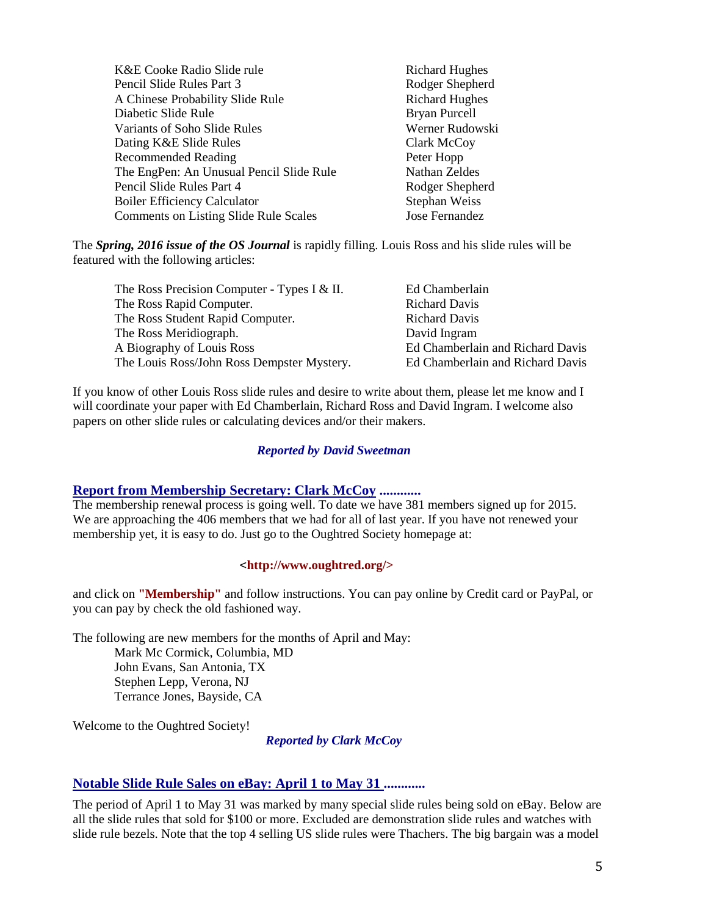| K&E Cooke Radio Slide rule                   | <b>Richard Hughes</b> |
|----------------------------------------------|-----------------------|
| Pencil Slide Rules Part 3                    | Rodger Shepherd       |
| A Chinese Probability Slide Rule             | <b>Richard Hughes</b> |
| Diabetic Slide Rule                          | <b>Bryan Purcell</b>  |
| Variants of Soho Slide Rules                 | Werner Rudowski       |
| Dating K&E Slide Rules                       | Clark McCoy           |
| <b>Recommended Reading</b>                   | Peter Hopp            |
| The EngPen: An Unusual Pencil Slide Rule     | Nathan Zeldes         |
| Pencil Slide Rules Part 4                    | Rodger Shepherd       |
| <b>Boiler Efficiency Calculator</b>          | Stephan Weiss         |
| <b>Comments on Listing Slide Rule Scales</b> | Jose Fernandez        |

The *Spring, 2016 issue of the OS Journal* is rapidly filling. Louis Ross and his slide rules will be featured with the following articles:

| The Ross Precision Computer - Types I & II. | Ed Chamberlain                   |
|---------------------------------------------|----------------------------------|
| The Ross Rapid Computer.                    | <b>Richard Davis</b>             |
| The Ross Student Rapid Computer.            | <b>Richard Davis</b>             |
| The Ross Meridiograph.                      | David Ingram                     |
| A Biography of Louis Ross                   | Ed Chamberlain and Richard Davis |
| The Louis Ross/John Ross Dempster Mystery.  | Ed Chamberlain and Richard Davis |

If you know of other Louis Ross slide rules and desire to write about them, please let me know and I will coordinate your paper with Ed Chamberlain, Richard Ross and David Ingram. I welcome also papers on other slide rules or calculating devices and/or their makers.

#### *Reported by David Sweetman*

## **Report from Membership Secretary: Clark McCoy ............**

The membership renewal process is going well. To date we have 381 members signed up for 2015. We are approaching the 406 members that we had for all of last year. If you have not renewed your membership yet, it is easy to do. Just go to the Oughtred Society homepage at:

#### <**http://www.oughtred.org/>**

and click on **"Membership"** and follow instructions. You can pay online by Credit card or PayPal, or you can pay by check the old fashioned way.

The following are new members for the months of April and May: Mark Mc Cormick, Columbia, MD John Evans, San Antonia, TX Stephen Lepp, Verona, NJ Terrance Jones, Bayside, CA

Welcome to the Oughtred Society!

*Reported by Clark McCoy*

### **Notable Slide Rule Sales on eBay: April 1 to May 31 ............**

The period of April 1 to May 31 was marked by many special slide rules being sold on eBay. Below are all the slide rules that sold for \$100 or more. Excluded are demonstration slide rules and watches with slide rule bezels. Note that the top 4 selling US slide rules were Thachers. The big bargain was a model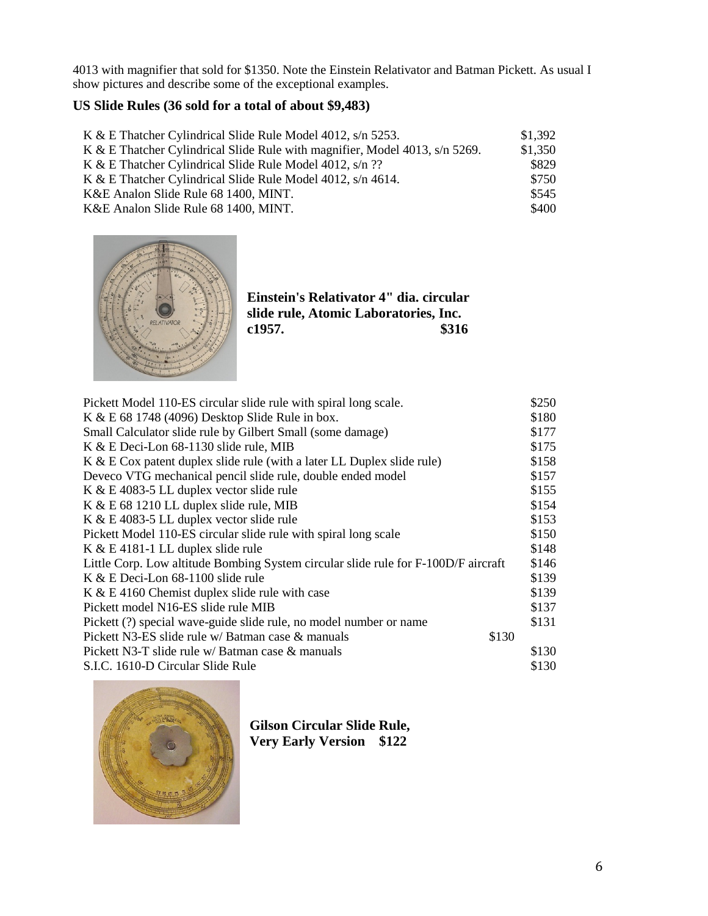4013 with magnifier that sold for \$1350. Note the Einstein Relativator and Batman Pickett. As usual I show pictures and describe some of the exceptional examples.

# **US Slide Rules (36 sold for a total of about \$9,483)**

| K & E Thatcher Cylindrical Slide Rule Model 4012, s/n 5253.                 | \$1,392 |
|-----------------------------------------------------------------------------|---------|
| K & E Thatcher Cylindrical Slide Rule with magnifier, Model 4013, s/n 5269. | \$1,350 |
| K & E Thatcher Cylindrical Slide Rule Model 4012, s/n ??                    | \$829   |
| K & E Thatcher Cylindrical Slide Rule Model 4012, s/n 4614.                 | \$750   |
| K&E Analon Slide Rule 68 1400, MINT.                                        | \$545   |
| K&E Analon Slide Rule 68 1400, MINT.                                        | \$400   |



**Einstein's Relativator 4" dia. circular slide rule, Atomic Laboratories, Inc.**  c1957.

| \$180<br>K & E 68 1748 (4096) Desktop Slide Rule in box.<br>Small Calculator slide rule by Gilbert Small (some damage)<br>\$177<br>\$175<br>K & E Deci-Lon 68-1130 slide rule, MIB<br>\$158<br>K & E Cox patent duplex slide rule (with a later LL Duplex slide rule)<br>\$157<br>Deveco VTG mechanical pencil slide rule, double ended model<br>\$155<br>K & E 4083-5 LL duplex vector slide rule<br>\$154<br>K & E 68 1210 LL duplex slide rule, MIB<br>\$153<br>K & E 4083-5 LL duplex vector slide rule<br>\$150<br>Pickett Model 110-ES circular slide rule with spiral long scale<br>\$148<br>$K & E$ 4181-1 LL duplex slide rule<br>\$146<br>Little Corp. Low altitude Bombing System circular slide rule for F-100D/F aircraft<br>\$139<br>K & E Deci-Lon 68-1100 slide rule |
|--------------------------------------------------------------------------------------------------------------------------------------------------------------------------------------------------------------------------------------------------------------------------------------------------------------------------------------------------------------------------------------------------------------------------------------------------------------------------------------------------------------------------------------------------------------------------------------------------------------------------------------------------------------------------------------------------------------------------------------------------------------------------------------|
|                                                                                                                                                                                                                                                                                                                                                                                                                                                                                                                                                                                                                                                                                                                                                                                      |
|                                                                                                                                                                                                                                                                                                                                                                                                                                                                                                                                                                                                                                                                                                                                                                                      |
|                                                                                                                                                                                                                                                                                                                                                                                                                                                                                                                                                                                                                                                                                                                                                                                      |
|                                                                                                                                                                                                                                                                                                                                                                                                                                                                                                                                                                                                                                                                                                                                                                                      |
|                                                                                                                                                                                                                                                                                                                                                                                                                                                                                                                                                                                                                                                                                                                                                                                      |
|                                                                                                                                                                                                                                                                                                                                                                                                                                                                                                                                                                                                                                                                                                                                                                                      |
|                                                                                                                                                                                                                                                                                                                                                                                                                                                                                                                                                                                                                                                                                                                                                                                      |
|                                                                                                                                                                                                                                                                                                                                                                                                                                                                                                                                                                                                                                                                                                                                                                                      |
|                                                                                                                                                                                                                                                                                                                                                                                                                                                                                                                                                                                                                                                                                                                                                                                      |
|                                                                                                                                                                                                                                                                                                                                                                                                                                                                                                                                                                                                                                                                                                                                                                                      |
|                                                                                                                                                                                                                                                                                                                                                                                                                                                                                                                                                                                                                                                                                                                                                                                      |
|                                                                                                                                                                                                                                                                                                                                                                                                                                                                                                                                                                                                                                                                                                                                                                                      |
| \$139<br>K & E 4160 Chemist duplex slide rule with case                                                                                                                                                                                                                                                                                                                                                                                                                                                                                                                                                                                                                                                                                                                              |
| \$137<br>Pickett model N16-ES slide rule MIB                                                                                                                                                                                                                                                                                                                                                                                                                                                                                                                                                                                                                                                                                                                                         |
| \$131<br>Pickett (?) special wave-guide slide rule, no model number or name                                                                                                                                                                                                                                                                                                                                                                                                                                                                                                                                                                                                                                                                                                          |
| Pickett N3-ES slide rule w/ Batman case & manuals<br>\$130                                                                                                                                                                                                                                                                                                                                                                                                                                                                                                                                                                                                                                                                                                                           |
| Pickett N3-T slide rule w/ Batman case & manuals<br>\$130                                                                                                                                                                                                                                                                                                                                                                                                                                                                                                                                                                                                                                                                                                                            |
| \$130<br>S.I.C. 1610-D Circular Slide Rule                                                                                                                                                                                                                                                                                                                                                                                                                                                                                                                                                                                                                                                                                                                                           |



**Gilson Circular Slide Rule, Very Early Version \$122**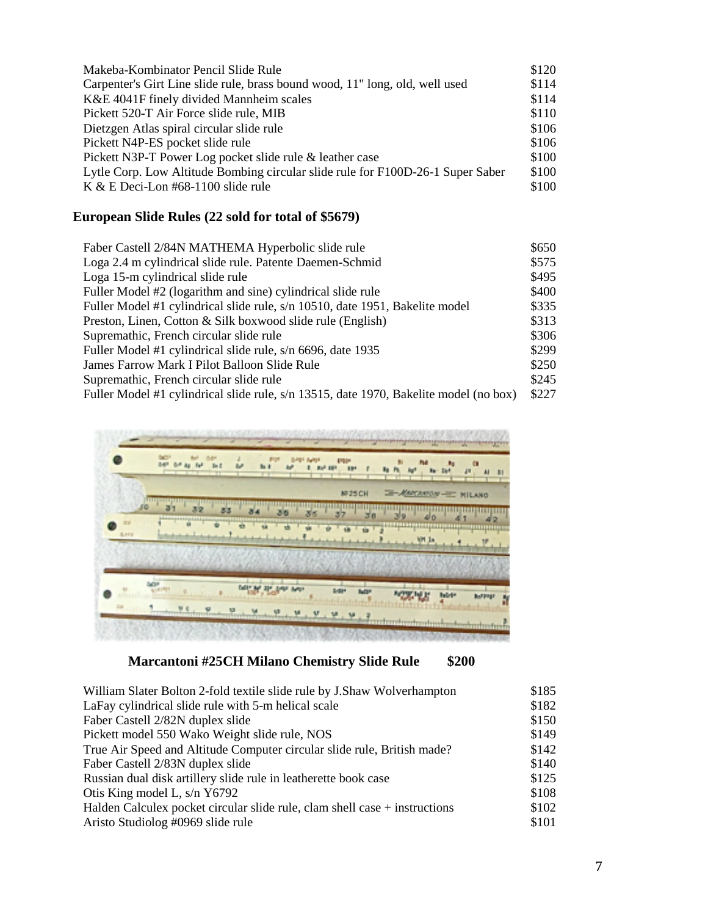| Makeba-Kombinator Pencil Slide Rule                                             | \$120 |
|---------------------------------------------------------------------------------|-------|
| Carpenter's Girt Line slide rule, brass bound wood, 11" long, old, well used    | \$114 |
| K&E 4041F finely divided Mannheim scales                                        | \$114 |
| Pickett 520-T Air Force slide rule, MIB                                         | \$110 |
| Dietzgen Atlas spiral circular slide rule                                       | \$106 |
| Pickett N4P-ES pocket slide rule                                                | \$106 |
| Pickett N3P-T Power Log pocket slide rule & leather case                        | \$100 |
| Lytle Corp. Low Altitude Bombing circular slide rule for F100D-26-1 Super Saber | \$100 |
| K & E Deci-Lon $#68-1100$ slide rule                                            | \$100 |

# **European Slide Rules (22 sold for total of \$5679)**

| Faber Castell 2/84N MATHEMA Hyperbolic slide rule                                     | \$650 |
|---------------------------------------------------------------------------------------|-------|
| Loga 2.4 m cylindrical slide rule. Patente Daemen-Schmid                              | \$575 |
| Loga 15-m cylindrical slide rule                                                      | \$495 |
| Fuller Model #2 (logarithm and sine) cylindrical slide rule                           | \$400 |
| Fuller Model #1 cylindrical slide rule, s/n 10510, date 1951, Bakelite model          | \$335 |
| Preston, Linen, Cotton & Silk boxwood slide rule (English)                            | \$313 |
| Supremathic, French circular slide rule                                               | \$306 |
| Fuller Model #1 cylindrical slide rule, s/n 6696, date 1935                           | \$299 |
| James Farrow Mark I Pilot Balloon Slide Rule                                          | \$250 |
| Supremathic, French circular slide rule                                               | \$245 |
| Fuller Model #1 cylindrical slide rule, s/n 13515, date 1970, Bakelite model (no box) | \$227 |



# **Marcantoni #25CH Milano Chemistry Slide Rule \$200**

| William Slater Bolton 2-fold textile slide rule by J.Shaw Wolverhampton    | \$185 |
|----------------------------------------------------------------------------|-------|
| LaFay cylindrical slide rule with 5-m helical scale                        | \$182 |
| Faber Castell 2/82N duplex slide                                           | \$150 |
| Pickett model 550 Wako Weight slide rule, NOS                              | \$149 |
| True Air Speed and Altitude Computer circular slide rule, British made?    | \$142 |
| Faber Castell 2/83N duplex slide                                           | \$140 |
| Russian dual disk artillery slide rule in leatherette book case            | \$125 |
| Otis King model L, s/n Y6792                                               | \$108 |
| Halden Calculex pocket circular slide rule, clam shell case + instructions | \$102 |
| Aristo Studiolog #0969 slide rule                                          | \$101 |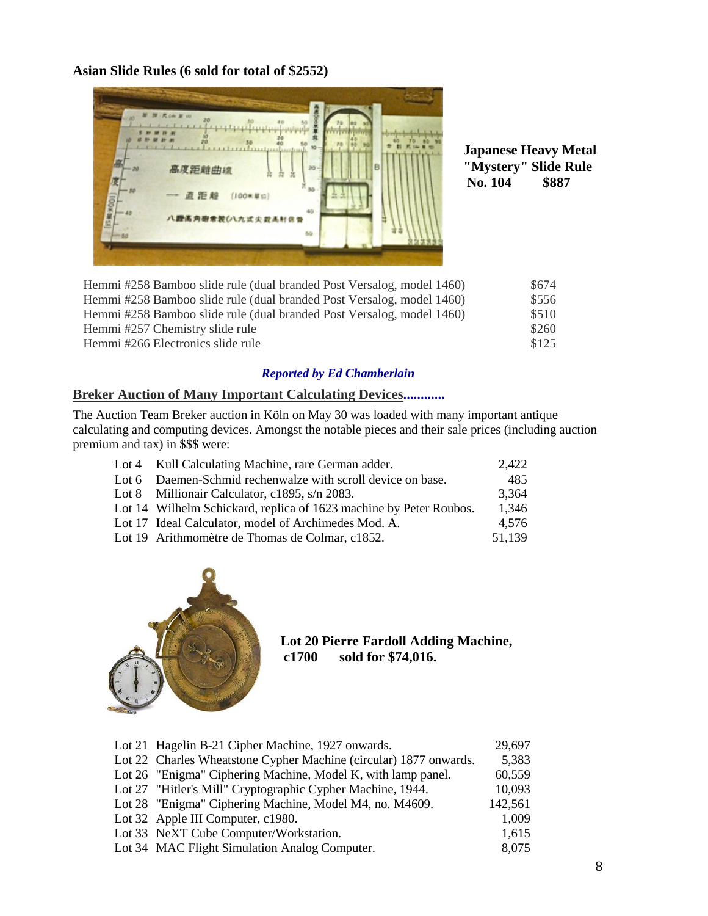**Asian Slide Rules (6 sold for total of \$2552)**



**Japanese Heavy Metal "Mystery" Slide Rule No. 104 \$887**

| Hemmi #258 Bamboo slide rule (dual branded Post Versalog, model 1460) | \$674 |
|-----------------------------------------------------------------------|-------|
| Hemmi #258 Bamboo slide rule (dual branded Post Versalog, model 1460) | \$556 |
| Hemmi #258 Bamboo slide rule (dual branded Post Versalog, model 1460) | \$510 |
| Hemmi #257 Chemistry slide rule                                       | \$260 |
| Hemmi #266 Electronics slide rule                                     | \$125 |

# *Reported by Ed Chamberlain*

# **Breker Auction of Many Important Calculating Devices............**

The Auction Team Breker auction in Köln on May 30 was loaded with many important antique calculating and computing devices. Amongst the notable pieces and their sale prices (including auction premium and tax) in \$\$\$ were:

| Lot 4 Kull Calculating Machine, rare German adder.                 | 2.422  |
|--------------------------------------------------------------------|--------|
| Lot 6 Daemen-Schmid rechenwalze with scroll device on base.        | 485    |
| Lot 8 Millionair Calculator, c1895, s/n 2083.                      | 3.364  |
| Lot 14 Wilhelm Schickard, replica of 1623 machine by Peter Roubos. | 1.346  |
| Lot 17 Ideal Calculator, model of Archimedes Mod. A.               | 4.576  |
| Lot 19 Arithmomètre de Thomas de Colmar, c1852.                    | 51,139 |



**Lot 20 Pierre Fardoll Adding Machine,** sold for \$74,016.

| Lot 21 Hagelin B-21 Cipher Machine, 1927 onwards.                 | 29,697  |
|-------------------------------------------------------------------|---------|
| Lot 22 Charles Wheatstone Cypher Machine (circular) 1877 onwards. | 5,383   |
| Lot 26 "Enigma" Ciphering Machine, Model K, with lamp panel.      | 60,559  |
| Lot 27 "Hitler's Mill" Cryptographic Cypher Machine, 1944.        | 10,093  |
| Lot 28 "Enigma" Ciphering Machine, Model M4, no. M4609.           | 142,561 |
| Lot 32 Apple III Computer, c1980.                                 | 1,009   |
| Lot 33 NeXT Cube Computer/Workstation.                            | 1,615   |
| Lot 34 MAC Flight Simulation Analog Computer.                     | 8,075   |
|                                                                   |         |